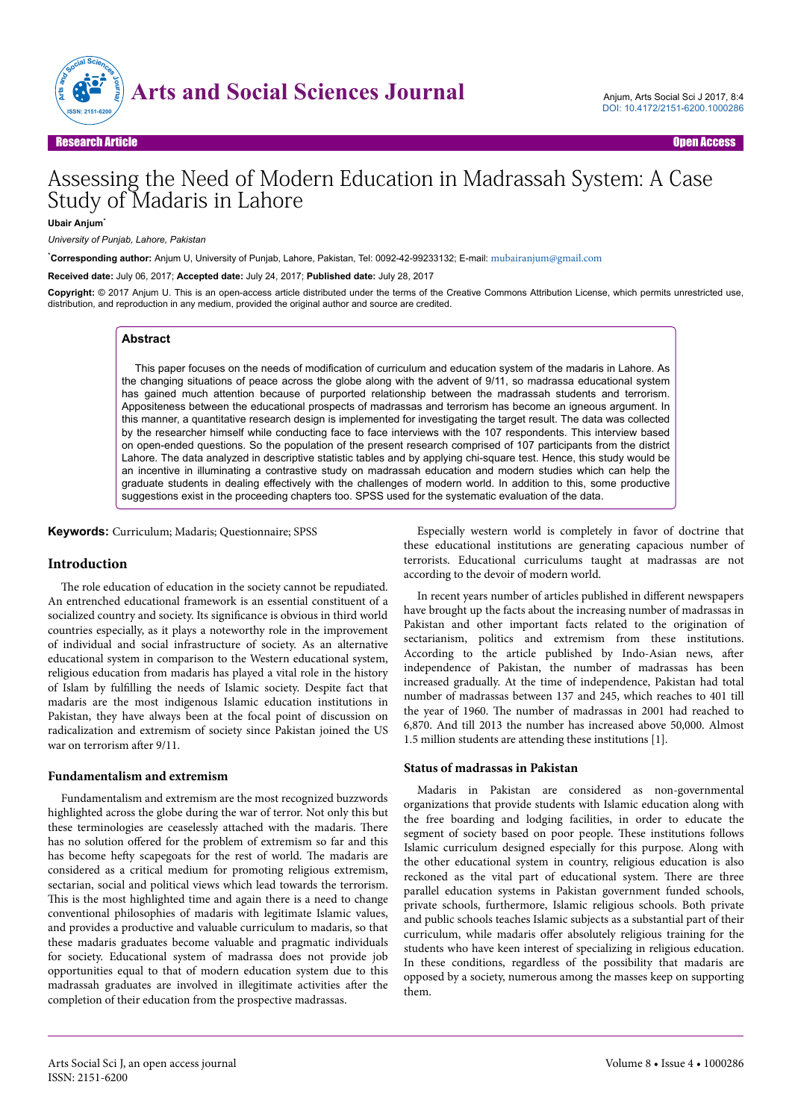

# Assessing the Need of Modern Education in Madrassah System: A Case Study of Madaris in Lahore

**Ubair Anjum**\*

*University of Punjab, Lahore, Pakistan*

\***Corresponding author:** Anjum U, University of Punjab, Lahore, Pakistan, Tel: 0092-42-99233132; E-mail: [mubairanjum@gmail.com](mailto:mubairanjum@gmail.com)

**Received date:** July 06, 2017; **Accepted date:** July 24, 2017; **Published date:** July 28, 2017

**Copyright:** © 2017 Anjum U. This is an open-access article distributed under the terms of the Creative Commons Attribution License, which permits unrestricted use, distribution, and reproduction in any medium, provided the original author and source are credited.

#### **Abstract**

This paper focuses on the needs of modification of curriculum and education system of the madaris in Lahore. As the changing situations of peace across the globe along with the advent of 9/11, so madrassa educational system has gained much attention because of purported relationship between the madrassah students and terrorism. Appositeness between the educational prospects of madrassas and terrorism has become an igneous argument. In this manner, a quantitative research design is implemented for investigating the target result. The data was collected by the researcher himself while conducting face to face interviews with the 107 respondents. This interview based on open-ended questions. So the population of the present research comprised of 107 participants from the district Lahore. The data analyzed in descriptive statistic tables and by applying chi-square test. Hence, this study would be an incentive in illuminating a contrastive study on madrassah education and modern studies which can help the graduate students in dealing effectively with the challenges of modern world. In addition to this, some productive suggestions exist in the proceeding chapters too. SPSS used for the systematic evaluation of the data.

**Keywords:** Curriculum; Madaris; Questionnaire; SPSS

## **Introduction**

The role education of education in the society cannot be repudiated. An entrenched educational framework is an essential constituent of a socialized country and society. Its significance is obvious in third world countries especially, as it plays a noteworthy role in the improvement of individual and social infrastructure of society. As an alternative educational system in comparison to the Western educational system, religious education from madaris has played a vital role in the history of Islam by fulfilling the needs of Islamic society. Despite fact that madaris are the most indigenous Islamic education institutions in Pakistan, they have always been at the focal point of discussion on radicalization and extremism of society since Pakistan joined the US war on terrorism after 9/11

#### **Fundamentalism and extremism**

Fundamentalism and extremism are the most recognized buzzwords highlighted across the globe during the war of terror. Not only this but these terminologies are ceaselessly attached with the madaris. Нere has no solution offered for the problem of extremism so far and this has become hefty scapegoats for the rest of world. The madaris are considered as a critical medium for promoting religious extremism, sectarian, social and political views which lead towards the terrorism. This is the most highlighted time and again there is a need to change conventional philosophies of madaris with legitimate Islamic values, and provides a productive and valuable curriculum to madaris, so that these madaris graduates become valuable and pragmatic individuals for society. Educational system of madrassa does not provide job opportunities equal to that of modern education system due to this madrassah graduates are involved in illegitimate activities after the completion of their education from the prospective madrassas.

Especially western world is completely in favor of doctrine that these educational institutions are generating capacious number of terrorists. Educational curriculums taught at madrassas are not according to the devoir of modern world.

In recent years number of articles published in different newspapers have brought up the facts about the increasing number of madrassas in Pakistan and other important facts related to the origination of sectarianism, politics and extremism from these institutions. According to the article published by Indo-Asian news, after independence of Pakistan, the number of madrassas has been increased gradually. At the time of independence, Pakistan had total number of madrassas between 137 and 245, which reaches to 401 till the year of 1960. Нe number of madrassas in 2001 had reached to 6,870. And till 2013 the number has increased above 50,000. Almost 1.5 million students are attending these institutions [1].

#### **Status of madrassas in Pakistan**

Madaris in Pakistan are considered as non-governmental organizations that provide students with Islamic education along with the free boarding and lodging facilities, in order to educate the segment of society based on poor people. Нese institutions follows Islamic curriculum designed especially for this purpose. Along with the other educational system in country, religious education is also reckoned as the vital part of educational system. Нere are three parallel education systems in Pakistan government funded schools, private schools, furthermore, Islamic religious schools. Both private and public schools teaches Islamic subjects as a substantial part of their curriculum, while madaris offer absolutely religious training for the students who have keen interest of specializing in religious education. In these conditions, regardless of the possibility that madaris are opposed by a society, numerous among the masses keep on supporting them.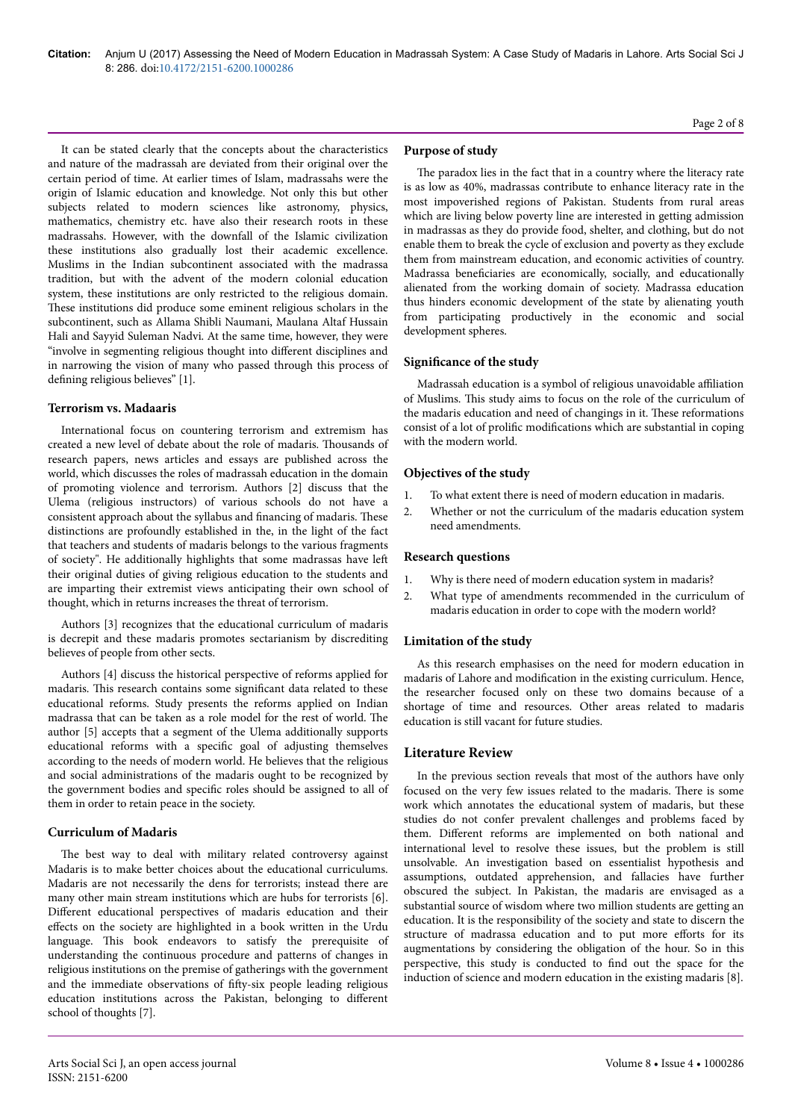It can be stated clearly that the concepts about the characteristics and nature of the madrassah are deviated from their original over the certain period of time. At earlier times of Islam, madrassahs were the origin of Islamic education and knowledge. Not only this but other subjects related to modern sciences like astronomy, physics, mathematics, chemistry etc. have also their research roots in these madrassahs. However, with the downfall of the Islamic civilization these institutions also gradually lost their academic excellence. Muslims in the Indian subcontinent associated with the madrassa tradition, but with the advent of the modern colonial education system, these institutions are only restricted to the religious domain. These institutions did produce some eminent religious scholars in the subcontinent, such as Allama Shibli Naumani, Maulana Altaf Hussain Hali and Sayyid Suleman Nadvi. At the same time, however, they were "involve in segmenting religious thought into different disciplines and in narrowing the vision of many who passed through this process of defining religious believes" [1].

## **Terrorism vs. Madaaris**

International focus on countering terrorism and extremism has created a new level of debate about the role of madaris. Нousands of research papers, news articles and essays are published across the world, which discusses the roles of madrassah education in the domain of promoting violence and terrorism. Authors [2] discuss that the Ulema (religious instructors) of various schools do not have a consistent approach about the syllabus and financing of madaris. Нese distinctions are profoundly established in the, in the light of the fact that teachers and students of madaris belongs to the various fragments of society". He additionally highlights that some madrassas have left their original duties of giving religious education to the students and are imparting their extremist views anticipating their own school of thought, which in returns increases the threat of terrorism.

Authors [3] recognizes that the educational curriculum of madaris is decrepit and these madaris promotes sectarianism by discrediting believes of people from other sects.

Authors [4] discuss the historical perspective of reforms applied for madaris. Нis research contains some significant data related to these educational reforms. Study presents the reforms applied on Indian madrassa that can be taken as a role model for the rest of world. Нe author [5] accepts that a segment of the Ulema additionally supports educational reforms with a specific goal of adjusting themselves according to the needs of modern world. He believes that the religious and social administrations of the madaris ought to be recognized by the government bodies and specific roles should be assigned to all of them in order to retain peace in the society.

## **Curriculum of Madaris**

The best way to deal with military related controversy against Madaris is to make better choices about the educational curriculums. Madaris are not necessarily the dens for terrorists; instead there are many other main stream institutions which are hubs for terrorists [6]. Different educational perspectives of madaris education and their effects on the society are highlighted in a book written in the Urdu language. Нis book endeavors to satisfy the prerequisite of understanding the continuous procedure and patterns of changes in religious institutions on the premise of gatherings with the government and the immediate observations of fifty-six people leading religious education institutions across the Pakistan, belonging to different school of thoughts [7].

## **Purpose of study**

The paradox lies in the fact that in a country where the literacy rate is as low as 40%, madrassas contribute to enhance literacy rate in the most impoverished regions of Pakistan. Students from rural areas which are living below poverty line are interested in getting admission in madrassas as they do provide food, shelter, and clothing, but do not enable them to break the cycle of exclusion and poverty as they exclude them from mainstream education, and economic activities of country. Madrassa beneficiaries are economically, socially, and educationally alienated from the working domain of society. Madrassa education thus hinders economic development of the state by alienating youth from participating productively in the economic and social development spheres.

## **Significance of the study**

Madrassah education is a symbol of religious unavoidable affiliation of Muslims. Нis study aims to focus on the role of the curriculum of the madaris education and need of changings in it. Нese reformations consist of a lot of prolific modifications which are substantial in coping with the modern world.

# **Objectives of the study**

- 1. To what extent there is need of modern education in madaris.
- 2. Whether or not the curriculum of the madaris education system need amendments.

## **Research questions**

- 1. Why is there need of modern education system in madaris?
- 2. What type of amendments recommended in the curriculum of madaris education in order to cope with the modern world?

# **Limitation of the study**

As this research emphasises on the need for modern education in madaris of Lahore and modification in the existing curriculum. Hence, the researcher focused only on these two domains because of a shortage of time and resources. Other areas related to madaris education is still vacant for future studies.

# **Literature Review**

In the previous section reveals that most of the authors have only focused on the very few issues related to the madaris. Нere is some work which annotates the educational system of madaris, but these studies do not confer prevalent challenges and problems faced by them. Different reforms are implemented on both national and international level to resolve these issues, but the problem is still unsolvable. An investigation based on essentialist hypothesis and assumptions, outdated apprehension, and fallacies have further obscured the subject. In Pakistan, the madaris are envisaged as a substantial source of wisdom where two million students are getting an education. It is the responsibility of the society and state to discern the structure of madrassa education and to put more efforts for its augmentations by considering the obligation of the hour. So in this perspective, this study is conducted to find out the space for the induction of science and modern education in the existing madaris [8].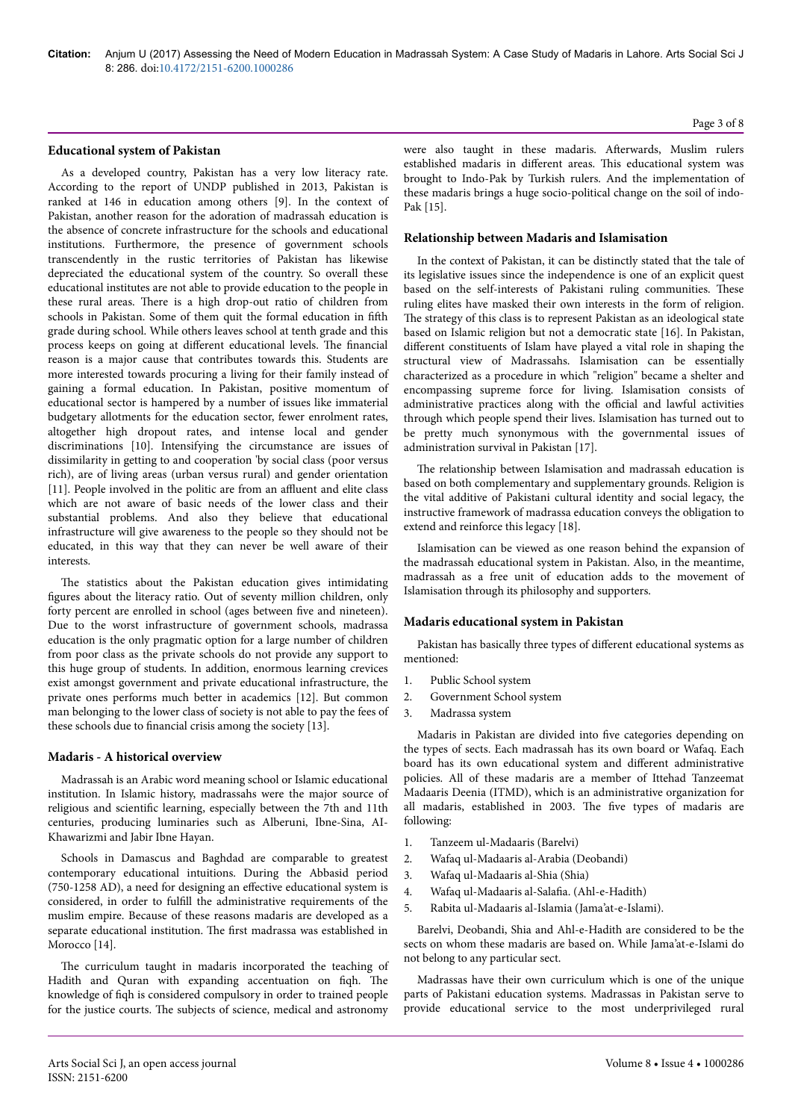#### **Educational system of Pakistan**

As a developed country, Pakistan has a very low literacy rate. According to the report of UNDP published in 2013, Pakistan is ranked at 146 in education among others [9]. In the context of Pakistan, another reason for the adoration of madrassah education is the absence of concrete infrastructure for the schools and educational institutions. Furthermore, the presence of government schools transcendently in the rustic territories of Pakistan has likewise depreciated the educational system of the country. So overall these educational institutes are not able to provide education to the people in these rural areas. Нere is a high drop-out ratio of children from schools in Pakistan. Some of them quit the formal education in fifth grade during school. While others leaves school at tenth grade and this process keeps on going at different educational levels. The financial reason is a major cause that contributes towards this. Students are more interested towards procuring a living for their family instead of gaining a formal education. In Pakistan, positive momentum of educational sector is hampered by a number of issues like immaterial budgetary allotments for the education sector, fewer enrolment rates, altogether high dropout rates, and intense local and gender discriminations [10]. Intensifying the circumstance are issues of dissimilarity in getting to and cooperation 'by social class (poor versus rich), are of living areas (urban versus rural) and gender orientation [11]. People involved in the politic are from an affluent and elite class which are not aware of basic needs of the lower class and their substantial problems. And also they believe that educational infrastructure will give awareness to the people so they should not be educated, in this way that they can never be well aware of their interests.

The statistics about the Pakistan education gives intimidating figures about the literacy ratio. Out of seventy million children, only forty percent are enrolled in school (ages between five and nineteen). Due to the worst infrastructure of government schools, madrassa education is the only pragmatic option for a large number of children from poor class as the private schools do not provide any support to this huge group of students. In addition, enormous learning crevices exist amongst government and private educational infrastructure, the private ones performs much better in academics [12]. But common man belonging to the lower class of society is not able to pay the fees of these schools due to financial crisis among the society [13].

#### **Madaris - A historical overview**

Madrassah is an Arabic word meaning school or Islamic educational institution. In Islamic history, madrassahs were the major source of religious and scientific learning, especially between the 7th and 11th centuries, producing luminaries such as Alberuni, Ibne-Sina, AI-Khawarizmi and Jabir Ibne Hayan.

Schools in Damascus and Baghdad are comparable to greatest contemporary educational intuitions. During the Abbasid period (750-1258 AD), a need for designing an effective educational system is considered, in order to fulfill the administrative requirements of the muslim empire. Because of these reasons madaris are developed as a separate educational institution. Нe first madrassa was established in Morocco [14].

The curriculum taught in madaris incorporated the teaching of Hadith and Quran with expanding accentuation on fiqh. Нe knowledge of fiqh is considered compulsory in order to trained people for the justice courts. Нe subjects of science, medical and astronomy

were also taught in these madaris. Afterwards, Muslim rulers established madaris in different areas. This educational system was brought to Indo-Pak by Turkish rulers. And the implementation of these madaris brings a huge socio-political change on the soil of indo-Pak [15].

#### **Relationship between Madaris and Islamisation**

In the context of Pakistan, it can be distinctly stated that the tale of its legislative issues since the independence is one of an explicit quest based on the self-interests of Pakistani ruling communities. Нese ruling elites have masked their own interests in the form of religion. The strategy of this class is to represent Pakistan as an ideological state based on Islamic religion but not a democratic state [16]. In Pakistan, different constituents of Islam have played a vital role in shaping the structural view of Madrassahs. Islamisation can be essentially characterized as a procedure in which "religion" became a shelter and encompassing supreme force for living. Islamisation consists of administrative practices along with the official and lawful activities through which people spend their lives. Islamisation has turned out to be pretty much synonymous with the governmental issues of administration survival in Pakistan [17].

The relationship between Islamisation and madrassah education is based on both complementary and supplementary grounds. Religion is the vital additive of Pakistani cultural identity and social legacy, the instructive framework of madrassa education conveys the obligation to extend and reinforce this legacy [18].

Islamisation can be viewed as one reason behind the expansion of the madrassah educational system in Pakistan. Also, in the meantime, madrassah as a free unit of education adds to the movement of Islamisation through its philosophy and supporters.

#### **Madaris educational system in Pakistan**

Pakistan has basically three types of different educational systems as mentioned:

- 1. Public School system
- 2. Government School system
- 3. Madrassa system

Madaris in Pakistan are divided into five categories depending on the types of sects. Each madrassah has its own board or Wafaq. Each board has its own educational system and different administrative policies. All of these madaris are a member of Ittehad Tanzeemat Madaaris Deenia (ITMD), which is an administrative organization for all madaris, established in 2003. Нe five types of madaris are following:

- 1. Tanzeem ul-Madaaris (Barelvi)
- 2. Wafaq ul-Madaaris al-Arabia (Deobandi)
- 3. Wafaq ul-Madaaris al-Shia (Shia)
- 4. Wafaq ul-Madaaris al-6alafia. (Ahl-e-Hadith)
- 5. Rabita ul-Madaaris al-Islamia (Jama'at-e-Islami).

Barelvi, Deobandi, Shia and Ahl-e-Hadith are considered to be the sects on whom these madaris are based on. While Jama'at-e-Islami do not belong to any particular sect.

Madrassas have their own curriculum which is one of the unique parts of Pakistani education systems. Madrassas in Pakistan serve to provide educational service to the most underprivileged rural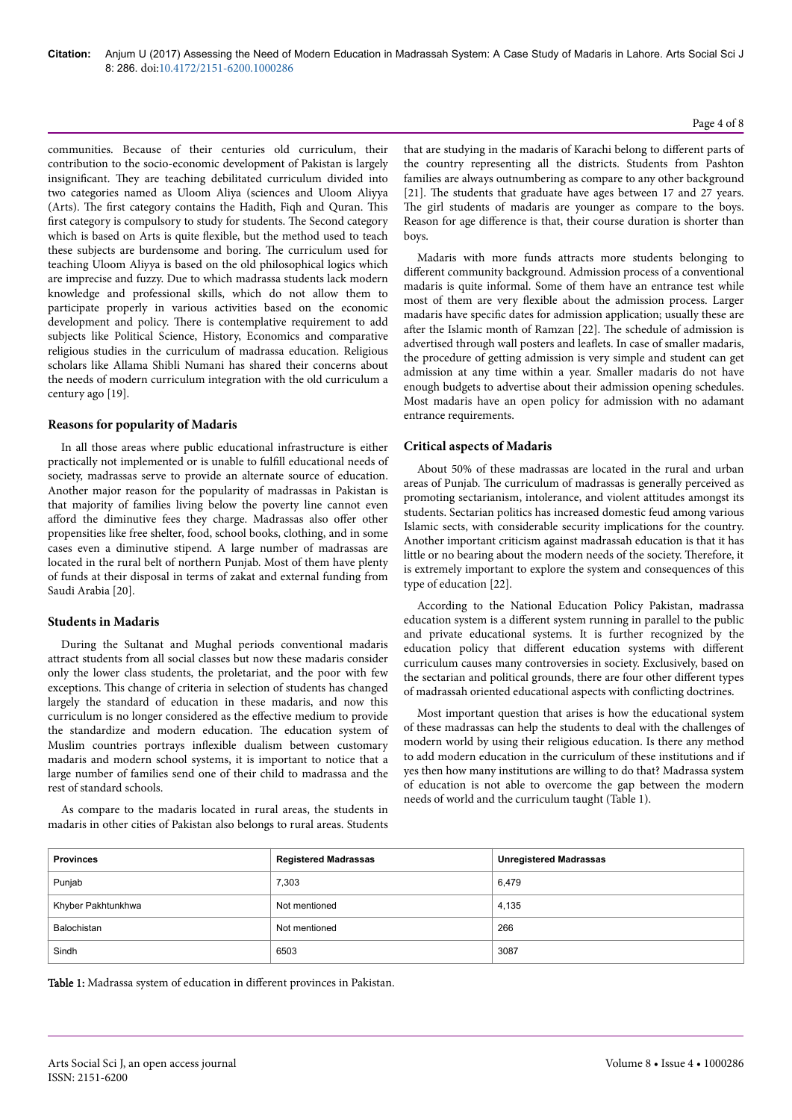communities. Because of their centuries old curriculum, their contribution to the socio-economic development of Pakistan is largely insignificant. Нey are teaching debilitated curriculum divided into two categories named as Uloom Aliya (sciences and Uloom Aliyya (Arts). Нe first category contains the Hadith, Fiqh and Quran. Нis first category is compulsory to study for students. Нe Second category which is based on Arts is quite flexible, but the method used to teach these subjects are burdensome and boring. Нe curriculum used for teaching Uloom Aliyya is based on the old philosophical logics which are imprecise and fuzzy. Due to which madrassa students lack modern knowledge and professional skills, which do not allow them to participate properly in various activities based on the economic development and policy. Нere is contemplative requirement to add subjects like Political Science, History, Economics and comparative religious studies in the curriculum of madrassa education. Religious scholars like Allama Shibli Numani has shared their concerns about the needs of modern curriculum integration with the old curriculum a century ago [19].

## **Reasons for popularity of Madaris**

In all those areas where public educational infrastructure is either practically not implemented or is unable to fulfill educational needs of society, madrassas serve to provide an alternate source of education. Another major reason for the popularity of madrassas in Pakistan is that majority of families living below the poverty line cannot even afford the diminutive fees they charge. Madrassas also offer other propensities like free shelter, food, school books, clothing, and in some cases even a diminutive stipend. A large number of madrassas are located in the rural belt of northern Punjab. Most of them have plenty of funds at their disposal in terms of zakat and external funding from Saudi Arabia [20].

## **Students in Madaris**

During the Sultanat and Mughal periods conventional madaris attract students from all social classes but now these madaris consider only the lower class students, the proletariat, and the poor with few exceptions. Нis change of criteria in selection of students has changed largely the standard of education in these madaris, and now this curriculum is no longer considered as the effective medium to provide the standardize and modern education. Нe education system of Muslim countries portrays inflexible dualism between customary madaris and modern school systems, it is important to notice that a large number of families send one of their child to madrassa and the rest of standard schools.

As compare to the madaris located in rural areas, the students in madaris in other cities of Pakistan also belongs to rural areas. Students that are studying in the madaris of Karachi belong to different parts of the country representing all the districts. Students from Pashton families are always outnumbering as compare to any other background [21]. The students that graduate have ages between 17 and 27 years. The girl students of madaris are younger as compare to the boys. Reason for age difference is that, their course duration is shorter than boys.

Madaris with more funds attracts more students belonging to different community background. Admission process of a conventional madaris is quite informal. Some of them have an entrance test while most of them are very flexible about the admission process. Larger madaris have specific dates for admission application; usually these are after the Islamic month of Ramzan [22]. The schedule of admission is advertised through wall posters and leaflets. In case of smaller madaris, the procedure of getting admission is very simple and student can get admission at any time within a year. Smaller madaris do not have enough budgets to advertise about their admission opening schedules. Most madaris have an open policy for admission with no adamant entrance requirements.

## **Critical aspects of Madaris**

About 50% of these madrassas are located in the rural and urban areas of Punjab. Нe curriculum of madrassas is generally perceived as promoting sectarianism, intolerance, and violent attitudes amongst its students. Sectarian politics has increased domestic feud among various Islamic sects, with considerable security implications for the country. Another important criticism against madrassah education is that it has little or no bearing about the modern needs of the society. Нerefore, it is extremely important to explore the system and consequences of this type of education [22].

According to the National Education Policy Pakistan, madrassa education system is a different system running in parallel to the public and private educational systems. It is further recognized by the education policy that different education systems with different curriculum causes many controversies in society. Exclusively, based on the sectarian and political grounds, there are four other different types of madrassah oriented educational aspects with conflicting doctrines.

Most important question that arises is how the educational system of these madrassas can help the students to deal with the challenges of modern world by using their religious education. Is there any method to add modern education in the curriculum of these institutions and if yes then how many institutions are willing to do that? Madrassa system of education is not able to overcome the gap between the modern needs of world and the curriculum taught (Table 1).

| <b>Provinces</b>   | <b>Registered Madrassas</b> | <b>Unregistered Madrassas</b> |
|--------------------|-----------------------------|-------------------------------|
| Punjab             | 7,303                       | 6,479                         |
| Khyber Pakhtunkhwa | Not mentioned               | 4,135                         |
| Balochistan        | Not mentioned               | 266                           |
| Sindh              | 6503                        | 3087                          |

Table 1: Madrassa system of education in different provinces in Pakistan.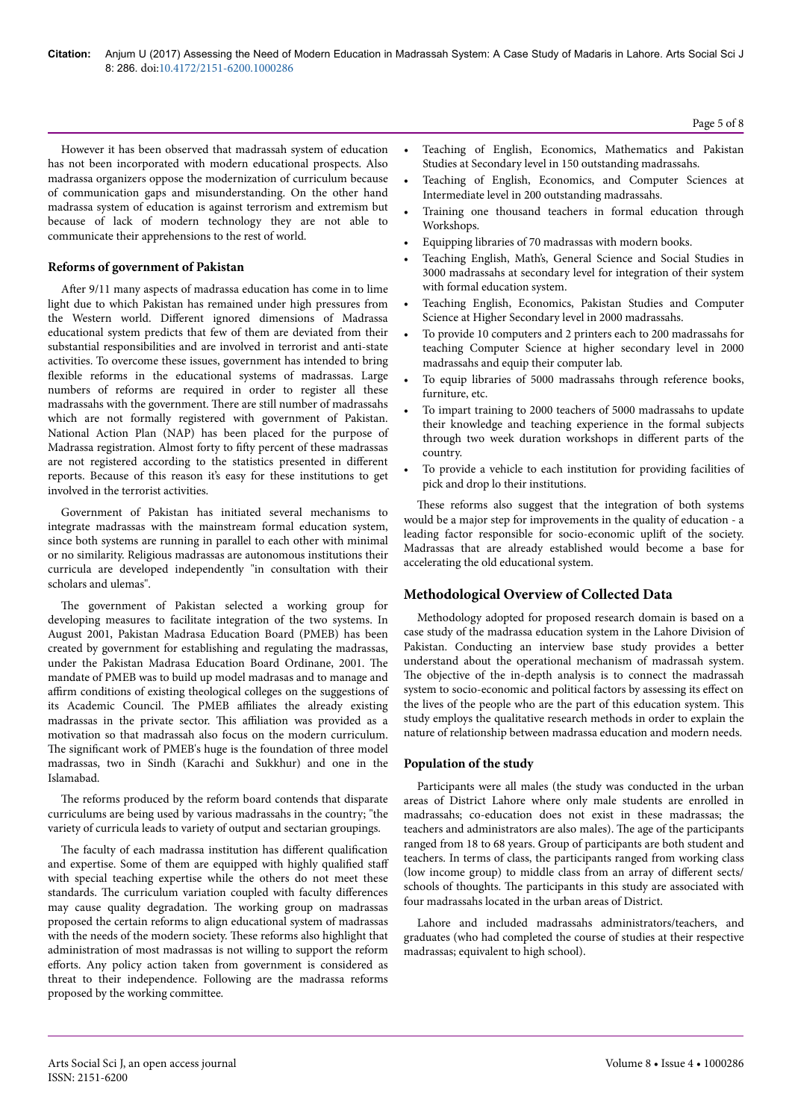However it has been observed that madrassah system of education has not been incorporated with modern educational prospects. Also madrassa organizers oppose the modernization of curriculum because of communication gaps and misunderstanding. On the other hand madrassa system of education is against terrorism and extremism but because of lack of modern technology they are not able to communicate their apprehensions to the rest of world.

## **Reforms of government of Pakistan**

After 9/11 many aspects of madrassa education has come in to lime light due to which Pakistan has remained under high pressures from the Western world. Different ignored dimensions of Madrassa educational system predicts that few of them are deviated from their substantial responsibilities and are involved in terrorist and anti-state activities. To overcome these issues, government has intended to bring flexible reforms in the educational systems of madrassas. Large numbers of reforms are required in order to register all these madrassahs with the government. Нere are still number of madrassahs which are not formally registered with government of Pakistan. National Action Plan (NAP) has been placed for the purpose of Madrassa registration. Almost forty to fifty percent of these madrassas are not registered according to the statistics presented in different reports. Because of this reason it's easy for these institutions to get involved in the terrorist activities.

Government of Pakistan has initiated several mechanisms to integrate madrassas with the mainstream formal education system, since both systems are running in parallel to each other with minimal or no similarity. Religious madrassas are autonomous institutions their curricula are developed independently "in consultation with their scholars and ulemas".

The government of Pakistan selected a working group for developing measures to facilitate integration of the two systems. In August 2001, Pakistan Madrasa Education Board (PMEB) has been created by government for establishing and regulating the madrassas, under the Pakistan Madrasa Education Board Ordinane, 2001. Нe mandate of PMEB was to build up model madrasas and to manage and affirm conditions of existing theological colleges on the suggestions of its Academic Council. Нe PMEB affiliates the already existing madrassas in the private sector. Нis affiliation was provided as a motivation so that madrassah also focus on the modern curriculum. The significant work of PMEB's huge is the foundation of three model madrassas, two in Sindh (Karachi and Sukkhur) and one in the Islamabad.

The reforms produced by the reform board contends that disparate curriculums are being used by various madrassahs in the country; "the variety of curricula leads to variety of output and sectarian groupings.

The faculty of each madrassa institution has different qualification and expertise. Some of them are equipped with highly qualified staff with special teaching expertise while the others do not meet these standards. The curriculum variation coupled with faculty differences may cause quality degradation. Нe working group on madrassas proposed the certain reforms to align educational system of madrassas with the needs of the modern society. Нese reforms also highlight that administration of most madrassas is not willing to support the reform efforts. Any policy action taken from government is considered as threat to their independence. Following are the madrassa reforms proposed by the working committee.

- Teaching of English, Economics, Mathematics and Pakistan Studies at Secondary level in 150 outstanding madrassahs.
- Teaching of English, Economics, and Computer Sciences at Intermediate level in 200 outstanding madrassahs.
- Training one thousand teachers in formal education through Workshops.
- Equipping libraries of 70 madrassas with modern books.
- Teaching English, Math's, General Science and Social Studies in 3000 madrassahs at secondary level for integration of their system with formal education system.
- Teaching English, Economics, Pakistan Studies and Computer Science at Higher Secondary level in 2000 madrassahs.
- To provide 10 computers and 2 printers each to 200 madrassahs for teaching Computer Science at higher secondary level in 2000 madrassahs and equip their computer lab.
- To equip libraries of 5000 madrassahs through reference books, furniture, etc.
- To impart training to 2000 teachers of 5000 madrassahs to update their knowledge and teaching experience in the formal subjects through two week duration workshops in different parts of the country.
- To provide a vehicle to each institution for providing facilities of pick and drop lo their institutions.

These reforms also suggest that the integration of both systems would be a major step for improvements in the quality of education - a leading factor responsible for socio-economic uplift of the society. Madrassas that are already established would become a base for accelerating the old educational system.

# **Methodological Overview of Collected Data**

Methodology adopted for proposed research domain is based on a case study of the madrassa education system in the Lahore Division of Pakistan. Conducting an interview base study provides a better understand about the operational mechanism of madrassah system. The objective of the in-depth analysis is to connect the madrassah system to socio-economic and political factors by assessing its effect on the lives of the people who are the part of this education system. Нis study employs the qualitative research methods in order to explain the nature of relationship between madrassa education and modern needs.

#### **Population of the study**

Participants were all males (the study was conducted in the urban areas of District Lahore where only male students are enrolled in madrassahs; co-education does not exist in these madrassas; the teachers and administrators are also males). Нe age of the participants ranged from 18 to 68 years. Group of participants are both student and teachers. In terms of class, the participants ranged from working class (low income group) to middle class from an array of different sects/ schools of thoughts. Нe participants in this study are associated with four madrassahs located in the urban areas of District.

Lahore and included madrassahs administrators/teachers, and graduates (who had completed the course of studies at their respective madrassas; equivalent to high school).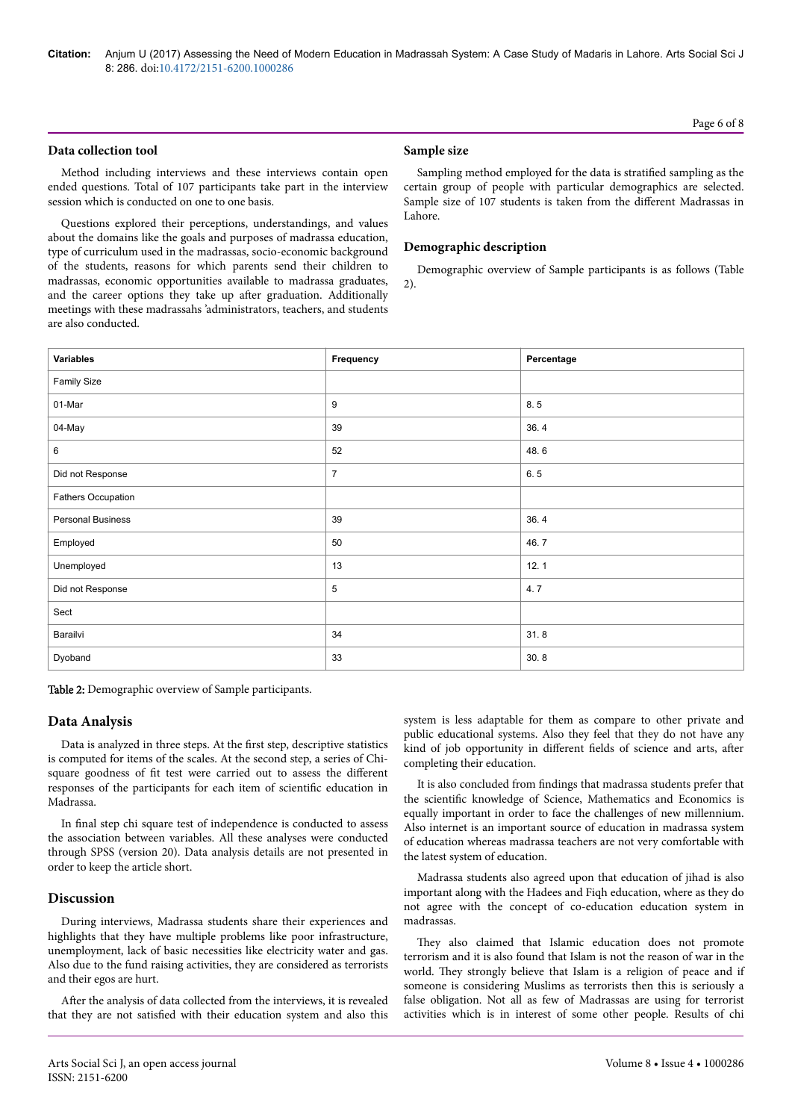**Citation:** Anjum U (2017) Assessing the Need of Modern Education in Madrassah System: A Case Study of Madaris in Lahore. Arts Social Sci J 8: 286. doi:10.4172/2151-6200.1000286

#### **Data collection tool**

Method including interviews and these interviews contain open ended questions. Total of 107 participants take part in the interview session which is conducted on one to one basis.

Questions explored their perceptions, understandings, and values about the domains like the goals and purposes of madrassa education, type of curriculum used in the madrassas, socio-economic background of the students, reasons for which parents send their children to madrassas, economic opportunities available to madrassa graduates, and the career options they take up after graduation. Additionally meetings with these madrassahs 'administrators, teachers, and students are also conducted.

#### **Sample size**

Sampling method employed for the data is stratified sampling as the certain group of people with particular demographics are selected. Sample size of 107 students is taken from the different Madrassas in Lahore.

## **Demographic description**

Demographic overview of Sample participants is as follows (Table 2).

| Variables          | Frequency      | Percentage |
|--------------------|----------------|------------|
| <b>Family Size</b> |                |            |
| 01-Mar             | 9              | 8.5        |
| 04-May             | 39             | 36.4       |
| 6                  | 52             | 48.6       |
| Did not Response   | $\overline{7}$ | 6.5        |
| Fathers Occupation |                |            |
| Personal Business  | 39             | 36.4       |
| Employed           | 50             | 46.7       |
| Unemployed         | 13             | 12.1       |
| Did not Response   | 5              | 4.7        |
| Sect               |                |            |
| Barailvi           | 34             | 31.8       |
| Dyoband            | 33             | 30.8       |

Table 2: Demographic overview of Sample participants.

# **Data Analysis**

Data is analyzed in three steps. At the first step, descriptive statistics is computed for items of the scales. At the second step, a series of Chisquare goodness of fit test were carried out to assess the different responses of the participants for each item of scientific education in Madrassa.

In final step chi square test of independence is conducted to assess the association between variables. All these analyses were conducted through SPSS (version 20). Data analysis details are not presented in order to keep the article short.

## **Discussion**

During interviews, Madrassa students share their experiences and highlights that they have multiple problems like poor infrastructure, unemployment, lack of basic necessities like electricity water and gas. Also due to the fund raising activities, they are considered as terrorists and their egos are hurt.

After the analysis of data collected from the interviews, it is revealed that they are not satisfied with their education system and also this system is less adaptable for them as compare to other private and public educational systems. Also they feel that they do not have any kind of job opportunity in different fields of science and arts, after completing their education.

It is also concluded from findings that madrassa students prefer that the scientific knowledge of Science, Mathematics and Economics is equally important in order to face the challenges of new millennium. Also internet is an important source of education in madrassa system of education whereas madrassa teachers are not very comfortable with the latest system of education.

Madrassa students also agreed upon that education of jihad is also important along with the Hadees and Fiqh education, where as they do not agree with the concept of co-education education system in madrassas.

They also claimed that Islamic education does not promote terrorism and it is also found that Islam is not the reason of war in the world. Нey strongly believe that Islam is a religion of peace and if someone is considering Muslims as terrorists then this is seriously a false obligation. Not all as few of Madrassas are using for terrorist activities which is in interest of some other people. Results of chi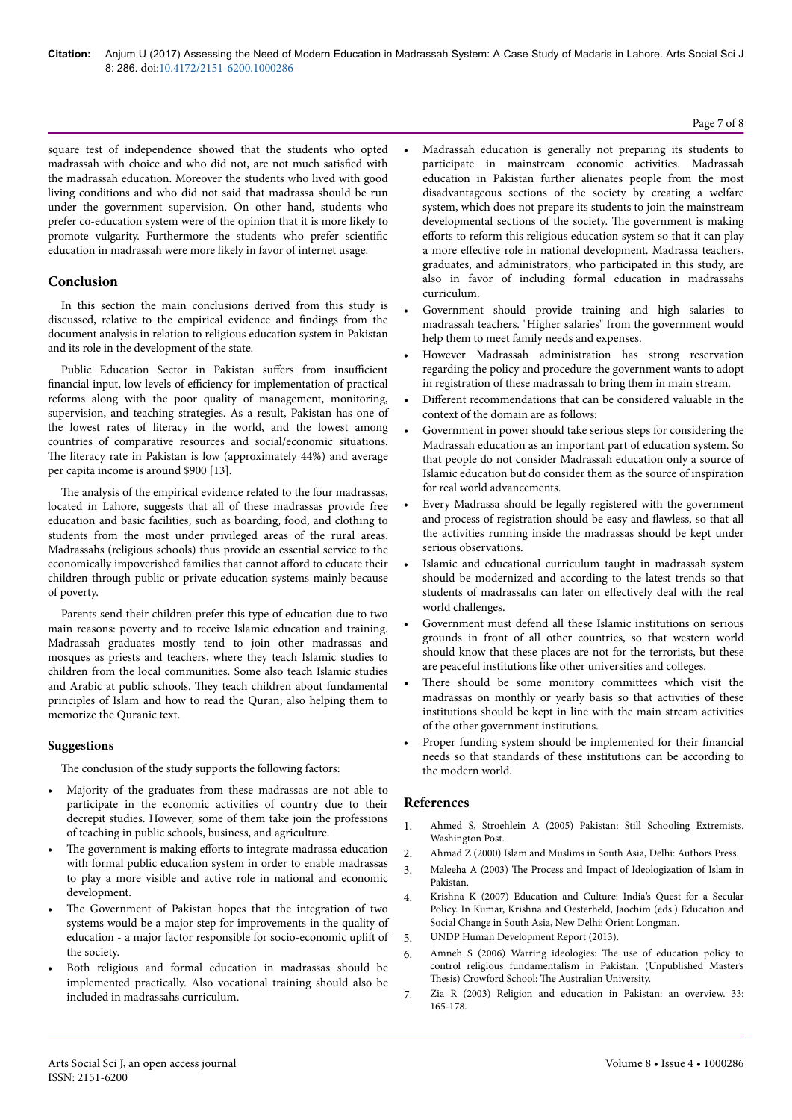Page 7 of 8

square test of independence showed that the students who opted madrassah with choice and who did not, are not much satisfied with the madrassah education. Moreover the students who lived with good living conditions and who did not said that madrassa should be run under the government supervision. On other hand, students who prefer co-education system were of the opinion that it is more likely to promote vulgarity. Furthermore the students who prefer scientific education in madrassah were more likely in favor of internet usage.

# **Conclusion**

In this section the main conclusions derived from this study is discussed, relative to the empirical evidence and findings from the document analysis in relation to religious education system in Pakistan and its role in the development of the state.

Public Education Sector in Pakistan suffers from insufficient financial input, low levels of efficiency for implementation of practical reforms along with the poor quality of management, monitoring, supervision, and teaching strategies. As a result, Pakistan has one of the lowest rates of literacy in the world, and the lowest among countries of comparative resources and social/economic situations. The literacy rate in Pakistan is low (approximately 44%) and average per capita income is around \$900 [13].

The analysis of the empirical evidence related to the four madrassas, located in Lahore, suggests that all of these madrassas provide free education and basic facilities, such as boarding, food, and clothing to students from the most under privileged areas of the rural areas. Madrassahs (religious schools) thus provide an essential service to the economically impoverished families that cannot afford to educate their children through public or private education systems mainly because of poverty.

Parents send their children prefer this type of education due to two main reasons: poverty and to receive Islamic education and training. Madrassah graduates mostly tend to join other madrassas and mosques as priests and teachers, where they teach Islamic studies to children from the local communities. Some also teach Islamic studies and Arabic at public schools. Нey teach children about fundamental principles of Islam and how to read the Quran; also helping them to memorize the Quranic text.

# **Suggestions**

The conclusion of the study supports the following factors:

- Majority of the graduates from these madrassas are not able to participate in the economic activities of country due to their decrepit studies. However, some of them take join the professions of teaching in public schools, business, and agriculture.
- The government is making efforts to integrate madrassa education with formal public education system in order to enable madrassas to play a more visible and active role in national and economic development.
- The Government of Pakistan hopes that the integration of two systems would be a major step for improvements in the quality of education - a major factor responsible for socio-economic uplift of the society.
- Both religious and formal education in madrassas should be implemented practically. Also vocational training should also be included in madrassahs curriculum.
- Madrassah education is generally not preparing its students to participate in mainstream economic activities. Madrassah education in Pakistan further alienates people from the most disadvantageous sections of the society by creating a welfare system, which does not prepare its students to join the mainstream developmental sections of the society. Нe government is making efforts to reform this religious education system so that it can play a more effective role in national development. Madrassa teachers, graduates, and administrators, who participated in this study, are also in favor of including formal education in madrassahs curriculum.
- Government should provide training and high salaries to madrassah teachers. "Higher salaries" from the government would help them to meet family needs and expenses.
- However Madrassah administration has strong reservation regarding the policy and procedure the government wants to adopt in registration of these madrassah to bring them in main stream.
- Different recommendations that can be considered valuable in the context of the domain are as follows:
- Government in power should take serious steps for considering the Madrassah education as an important part of education system. So that people do not consider Madrassah education only a source of Islamic education but do consider them as the source of inspiration for real world advancements.
- Every Madrassa should be legally registered with the government and process of registration should be easy and flawless, so that all the activities running inside the madrassas should be kept under serious observations.
- Islamic and educational curriculum taught in madrassah system should be modernized and according to the latest trends so that students of madrassahs can later on effectively deal with the real world challenges.
- Government must defend all these Islamic institutions on serious grounds in front of all other countries, so that western world should know that these places are not for the terrorists, but these are peaceful institutions like other universities and colleges.
- There should be some monitory committees which visit the madrassas on monthly or yearly basis so that activities of these institutions should be kept in line with the main stream activities of the other government institutions.
- Proper funding system should be implemented for their financial needs so that standards of these institutions can be according to the modern world.

# **References**

- 1. [Ahmed S, Stroehlein A \(2005\) Pakistan: Still Schooling Extremists.](http://www.washingtonpost.com/wp-dyn/content/article/2005/07/15/AR2005071501617.html) [Washington Post.](http://www.washingtonpost.com/wp-dyn/content/article/2005/07/15/AR2005071501617.html)
- 2. Ahmad Z (2000) Islam and Muslims in South Asia, Delhi: Authors Press.
- 3. Maleeha A (2003) Нe [Process and Impact of Ideologization of Islam in](https://www.abc.se/home/m9783/ir/d/1/49MaleehaAslam.pdf) [Pakistan.](https://www.abc.se/home/m9783/ir/d/1/49MaleehaAslam.pdf)
- 4. Krishna K (2007) Education and Culture: India's Quest for a Secular Policy. In Kumar, Krishna and Oesterheld, Jaochim (eds.) Education and Social Change in South Asia, New Delhi: Orient Longman.
- 5. [UNDP Human Development Report \(2013\).](http://www.undp.org/content/undp/en/home/librarypage/hdr/human-development-report-2013.html)
- 6. Amneh S (2006) Warring ideologies: Нe use of education policy to control religious fundamentalism in Pakistan. (Unpublished Master's Thesis) Crowford School: The Australian University.
- 7. [Zia R \(2003\) Religion and education in Pakistan: an overview. 33:](https://link.springer.com/article/10.1023%2FA%3A1023690712978?LI=true) [165-178.](https://link.springer.com/article/10.1023%2FA%3A1023690712978?LI=true)